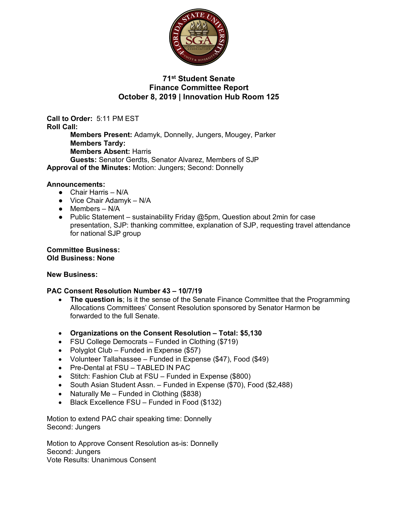

# **71st Student Senate Finance Committee Report October 8, 2019 | Innovation Hub Room 125**

**Call to Order:** 5:11 PM EST **Roll Call: Members Present:** Adamyk, Donnelly, Jungers, Mougey, Parker **Members Tardy: Members Absent:** Harris **Guests:** Senator Gerdts, Senator Alvarez, Members of SJP **Approval of the Minutes:** Motion: Jungers; Second: Donnelly

### **Announcements:**

- Chair Harris N/A
- $\bullet$  Vice Chair Adamyk N/A
- $\bullet$  Members N/A
- Public Statement sustainability Friday  $@5$ pm, Question about 2min for case presentation, SJP: thanking committee, explanation of SJP, requesting travel attendance for national SJP group

**Committee Business: Old Business: None**

#### **New Business:**

## **PAC Consent Resolution Number 43 – 10/7/19**

- **The question is**; Is it the sense of the Senate Finance Committee that the Programming Allocations Committees' Consent Resolution sponsored by Senator Harmon be forwarded to the full Senate.
- **Organizations on the Consent Resolution – Total: \$5,130**
- FSU College Democrats Funded in Clothing (\$719)
- Polyglot Club Funded in Expense (\$57)
- Volunteer Tallahassee Funded in Expense (\$47), Food (\$49)
- Pre-Dental at FSU TABLED IN PAC
- Stitch: Fashion Club at FSU Funded in Expense (\$800)
- South Asian Student Assn. Funded in Expense (\$70), Food (\$2,488)
- Naturally Me Funded in Clothing (\$838)
- Black Excellence FSU Funded in Food (\$132)

Motion to extend PAC chair speaking time: Donnelly Second: Jungers

Motion to Approve Consent Resolution as-is: Donnelly Second: Jungers Vote Results: Unanimous Consent